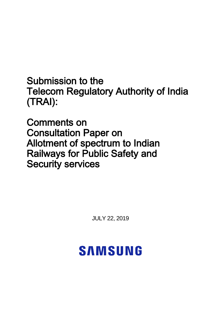Submission to the Telecom Regulatory Authority of India (TRAI):

Comments on Consultation Paper on Allotment of spectrum to Indian Railways for Public Safety and Security services

JULY 22, 2019

# **SAMSUNG**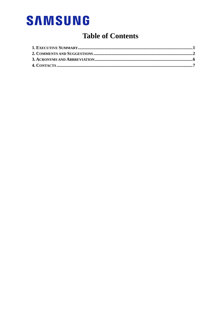# **Table of Contents**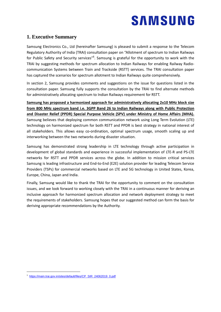### <span id="page-2-0"></span>**1. Executive Summary**

Samsung Electronics Co., Ltd (hereinafter Samsung) is pleased to submit a response to the Telecom Regulatory Authority of India (TRAI) consultation paper on "Allotment of spectrum to Indian Railways for Public Safety and Security services<sup>"1</sup>. Samsung is grateful for the opportunity to work with the TRAI by suggesting methods for spectrum allocation to Indian Railways for enabling Railway Radiocommunication Systems between Train and Trackside (RSTT) services. The TRAI consultation paper has captured the scenarios for spectrum allotment to Indian Railways quite comprehensively.

In section 2, Samsung provides comments and suggestions on the issue for questions listed in the consultation paper. Samsung fully supports the consultation by the TRAI to find alternate methods for administratively allocating spectrum to Indian Railways requirement for RSTT.

**Samsung has proposed a harmonized approach for administratively allocating 2x10 MHz block size from 800 MHz spectrum band i.e. 3GPP Band 26 to Indian Railways along with Public Protection and Disaster Relief (PPDR) Special Purpose Vehicle (SPV) under Ministry of Home Affairs (MHA).** Samsung believes that deploying common communication network using Long Term Evolution (LTE) technology on harmonized spectrum for both RSTT and PPDR is best strategy in national interest of all stakeholders. This allows easy co-ordination, optimal spectrum usage, smooth scaling up and interworking between the two networks during disaster situation.

Samsung has demonstrated strong leadership in LTE technology through active participation in development of global standards and experience in successful implementation of LTE-R and PS-LTE networks for RSTT and PPDR services across the globe. In addition to mission critical services Samsung is leading infrastructure and End-to-End (E2E) solution provider for leading Telecom Service Providers (TSPs) for commercial networks based on LTE and 5G technology in United States, Korea, Europe, China, Japan and India.

Finally, Samsung would like to thank the TRAI for the opportunity to comment on the consultation issues, and we look forward to working closely with the TRAI in a continuous manner for deriving an inclusive approach for harmonized spectrum allocation and network deployment strategy to meet the requirements of stakeholders. Samsung hopes that our suggested method can form the basis for deriving appropriate recommendations by the Authority.

-

<sup>&</sup>lt;sup>1</sup> [https://main.trai.gov.in/sites/default/files/CP\\_SIR\\_24062019\\_0.pdf](https://main.trai.gov.in/sites/default/files/CP_SIR_24062019_0.pdf)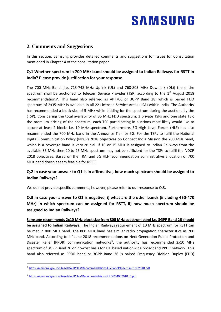# <span id="page-3-0"></span>**2. Comments and Suggestions**

In this section, Samsung provides detailed comments and suggestions for Issues for Consultation mentioned in Chapter 4 of the consultation paper.

### **Q.1 Whether spectrum in 700 MHz band should be assigned to Indian Railways for RSTT in India? Please provide justification for your response.**

The 700 MHz Band [i.e. 713-748 MHz Uplink (UL) and 768-803 MHz Downlink (DL)] the entire spectrum shall be auctioned to Telecom Service Provider (TSP) according to the  $1<sup>st</sup>$  August 2018 recommendations<sup>2</sup>. This band also referred as APT700 or 3GPP Band 28, which is paired FDD spectrum of 2x35 MHz is available in all 22 Licensed Service Areas (LSA) within India. The Authority has recommended a block size of 5 MHz while bidding for the spectrum during the auctions by the (TSP). Considering the total availability of 35 MHz FDD spectrum, 3 private TSPs and one state TSP, the premium pricing of the spectrum, each TSP participating in auctions most likely would like to secure at least 2 blocks i.e. 10 MHz spectrum. Furthermore, 5G High Level Forum (HLF) has also recommended the 700 MHz band in the Announce Tier for 5G. For the TSPs to fulfil the National Digital Communication Policy (NDCP) 2018 objectives on Connect India Mission the 700 MHz band, which is a coverage band is very crucial. If 10 or 15 MHz is assigned to Indian Railways from the available 35 MHz then 20 to 25 MHz spectrum may not be sufficient for the TSPs to fulfil the NDCP 2018 objectives. Based on the TRAI and 5G HLF recommendation administrative allocation of 700 MHz band doesn't seem feasible for RSTT.

### **Q.2 In case your answer to Q1 is in affirmative, how much spectrum should be assigned to Indian Railways?**

We do not provide specific comments, however, please refer to our response to Q.3.

### **Q.3 In case your answer to Q1 is negative, i) what are the other bands (including 450-470 MHz) in which spectrum can be assigned for RSTT, ii) how much spectrum should be assigned to Indian Railways?**

**Samsung recommends 2x10 MHz block size from 800 MHz spectrum band i.e. 3GPP Band 26 should be assigned to Indian Railways.** The Indian Railways requirement of 10 MHz spectrum for RSTT can be met in 800 MHz band. The 800 MHz band has similar radio propagation characteristics as 700 MHz band. According to  $4<sup>th</sup>$  June 2018 recommendations on Next Generation Public Protection and Disaster Relief (PPDR) communication networks<sup>3</sup>, the authority has recommended 2x10 MHz spectrum of 3GPP Band 26 on no-cost basis for LTE based nationwide broadband PPDR network. This band also referred as PPDR band or 3GPP Band 26 is paired Frequency Division Duplex (FDD)

-

<sup>&</sup>lt;sup>2</sup> <https://main.trai.gov.in/sites/default/files/RecommendationsAuctionofSpectrum01082018.pdf>

<sup>&</sup>lt;sup>3</sup> [https://main.trai.gov.in/sites/default/files/RecommendationsPPDR04062018\\_0.pdf](https://main.trai.gov.in/sites/default/files/RecommendationsPPDR04062018_0.pdf)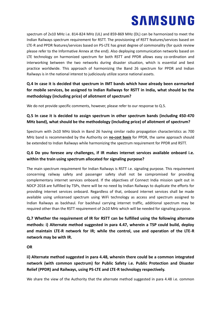spectrum of 2x10 MHz i.e. 814-824 MHz (UL) and 859-869 MHz (DL) can be harmonized to meet the Indian Railways spectrum requirement for RSTT. The provisioning of RSTT features/services based on LTE-R and PPDR features/services based on PS-LTE has great degree of commonality (for quick review please refer to the Informative Annex at the end). Also deploying communication networks based on LTE technology on harmonized spectrum for both RSTT and PPDR allows easy co-ordination and interworking between the two networks during disaster situation, which is essential and best practice worldwide. This approach of harmonizing the Band 26 spectrum for PPDR and Indian Railways is in the national interest to judiciously utilize scarce national assets.

# **Q.4 In case it is decided that spectrum in IMT bands which have already been earmarked for mobile services, be assigned to Indian Railways for RSTT in India, what should be the methodology (including price) of allotment of spectrum?**

We do not provide specific comments, however, please refer to our response to Q.5.

### **Q.5 In case it is decided to assign spectrum in other spectrum bands (including 450-470 MHz band), what should be the methodology (including price) of allotment of spectrum?**

Spectrum with 2x10 MHz block in Band 26 having similar radio propagation characteristics as 700 MHz band is recommended by the Authority on **no-cost basis** for PPDR, the same approach should be extended to Indian Railways while harmonizing the spectrum requirement for PPDR and RSTT.

### **Q.6 Do you foresee any challenges, if IR makes internet services available onboard i.e. within the train using spectrum allocated for signaling purpose?**

The main spectrum requirement for Indian Railways is RSTT i.e. signaling purpose. This requirement concerning railway safety and passenger safety shall not be compromised for providing complementary internet services onboard. If the objectives of Connect India mission spelt out in NDCP 2018 are fulfilled by TSPs, there will be no need by Indian Railways to duplicate the efforts for providing internet services onboard. Regardless of that, onboard internet services shall be made available using unlicensed spectrum using WiFi technology as access and spectrum assigned to Indian Railways as backhaul. For backhaul carrying internet traffic, additional spectrum may be required other than the RSTT requirement of 2x10 MHz which will be needed for signaling purpose.

**Q.7 Whether the requirement of IR for RSTT can be fulfilled using the following alternate methods: i) Alternate method suggested in para 4.47, wherein a TSP could build, deploy and maintain LTE-R network for IR; while the control, use and operation of the LTE-R network may be with IR.** 

#### **OR**

# **ii) Alternate method suggested in para 4.48, wherein there could be a common integrated network (with common spectrum) for Public Safety i.e. Public Protection and Disaster Relief (PPDR) and Railways, using PS-LTE and LTE-R technology respectively.**

We share the view of the Authority that the alternate method suggested in para 4.48 i.e. common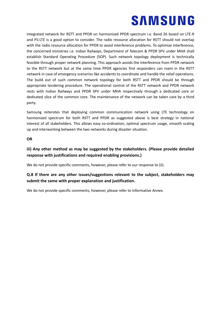integrated network for RSTT and PPDR on harmonized PPDR spectrum i.e. Band 26 based on LTE-R and PS-LTE is a good option to consider. The radio resource allocation for RSTT should not overlap with the radio resource allocation for PPDR to avoid interference problems. To optimize interference, the concerned ministries i.e. Indian Railways, Department of Telecom & PPDR SPV under MHA shall establish Standard Operating Procedure (SOP). Such network topology deployment is technically feasible through proper network planning. This approach avoids the interference from PPDR network to the RSTT network but at the same time PPDR agencies first responders can roam in the RSTT network in case of emergency scenarios like accidents to coordinate and handle the relief operations. The build out of such common network topology for both RSTT and PPDR should be through appropriate tendering procedure. The operational control of the RSTT network and PPDR network rests with Indian Railways and PPDR SPV under MHA respectively through a dedicated core or dedicated slice of the common core. The maintenance of the network can be taken care by a third party.

Samsung reiterates that deploying common communication network using LTE technology on harmonized spectrum for both RSTT and PPDR as suggested above is best strategy in national interest of all stakeholders. This allows easy co-ordination, optimal spectrum usage, smooth scaling up and interworking between the two networks during disaster situation.

#### **OR**

### **iii) Any other method as may be suggested by the stakeholders. (Please provide detailed response with justifications and required enabling provisions.)**

We do not provide specific comments, however, please refer to our response to (ii).

### **Q.8 If there are any other issues/suggestions relevant to the subject, stakeholders may submit the same with proper explanation and justification.**

We do not provide specific comments, however, please refer to Informative Annex.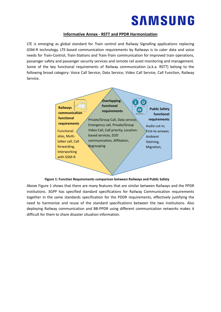#### **Informative Annex - RSTT and PPDR Harmonization**

LTE is emerging as global standard for Train control and Railway Signalling applications replacing GSM-R technology. LTE-based communication requirements by Railways is to cater data and voice needs for Train-Control, Train-Stations and Train-Train communication for improved train operations, passenger safety and passenger security services and remote rail asset monitoring and management. Some of the key functional requirements of Railway communication (a.k.a. RSTT) belong to the following broad category: Voice Call Service, Data Service, Video Call Service, Call Function, Railway Service.





Above Figure 1 shows that there are many features that are similar between Railways and the PPDR institutions. 3GPP has specified standard specifications for Railway Communication requirements together in the same standards specification for the PDDR requirements, effectively justifying the need to harmonize and reuse of the standard specifications between the two institutions. Also deploying Railway communication and BB-PPDR using different communication networks makes it difficult for them to share disaster situation information.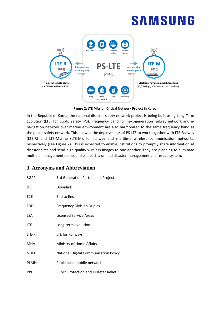

**Figure 2: LTE Mission Critical Network Project in Korea**

In the Republic of Korea, the national disaster safety network project is being built using Long Term Evolution (LTE) for public safety (PS). Frequency band for next-generation railway network and enavigation network over marine environment are also harmonized to the same frequency band as the public safety network. This allowed the deployments of PS-LTE to work together with LTE-Railway (LTE-R) and LTE-Marine (LTE-M), for railway and maritime wireless communication networks, respectively (see Figure 2). This is expected to enable institutions to promptly share information at disaster sites and send high quality wireless images to one another. They are planning to eliminate multiple management points and establish a unified disaster management and rescue system.

# <span id="page-7-0"></span>**3. Acronyms and Abbreviation**

| 3GPP            | 3rd Generation Partnership Project           |
|-----------------|----------------------------------------------|
| DL              | Downlink                                     |
| E <sub>2E</sub> | End to End                                   |
| FDD             | <b>Frequency Division Duplex</b>             |
| LSA             | Licensed Service Areas                       |
| <b>LTE</b>      | Long-term evolution                          |
| LTE-R           | LTE for Railways                             |
| MHA             | Ministry of Home Affairs                     |
| <b>NDCP</b>     | National Digital Communication Policy        |
| <b>PLMN</b>     | Public land mobile network                   |
| <b>PPDR</b>     | <b>Public Protection and Disaster Relief</b> |